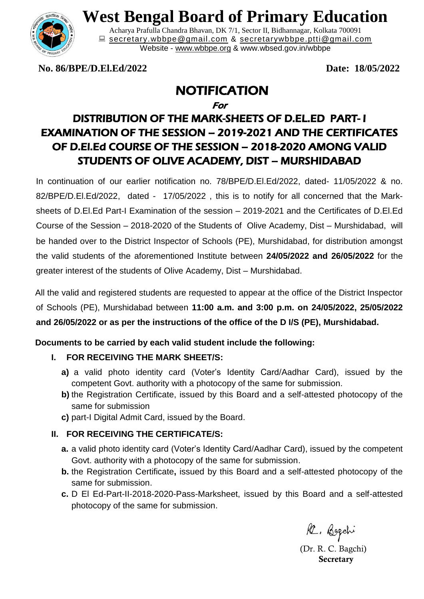

# **West Bengal Board of Primary Education**

Acharya Prafulla Chandra Bhavan, DK 7/1, Sector II, Bidhannagar, Kolkata 700091 **■** [secretary.wbbpe@gmail.com](mailto:secretary.wbbpe@gmail.com) & [secretarywbbpe.ptti@gmail.com](mailto:secretarywbbpe.ptti@gmail.com) Website - [www.wbbpe.org](http://www.wbbpe.org/) & www.wbsed.gov.in/wbbpe

**No. 86/BPE/D.El.Ed/2022 Date: 18/05/2022**

## NOTIFICATION

For

### DISTRIBUTION OF THE MARK-SHEETS OF D.EL.ED PART- I EXAMINATION OF THE SESSION – 2019-2021 AND THE CERTIFICATES OF D.El.Ed COURSE OF THE SESSION – 2018-2020 AMONG VALID STUDENTS OF OLIVE ACADEMY, DIST – MURSHIDABAD

In continuation of our earlier notification no. 78/BPE/D.El.Ed/2022, dated- 11/05/2022 & no. 82/BPE/D.El.Ed/2022, dated - 17/05/2022 , this is to notify for all concerned that the Marksheets of D.El.Ed Part-I Examination of the session – 2019-2021 and the Certificates of D.El.Ed Course of the Session – 2018-2020 of the Students of Olive Academy, Dist – Murshidabad, will be handed over to the District Inspector of Schools (PE), Murshidabad, for distribution amongst the valid students of the aforementioned Institute between **24/05/2022 and 26/05/2022** for the greater interest of the students of Olive Academy, Dist – Murshidabad.

All the valid and registered students are requested to appear at the office of the District Inspector of Schools (PE), Murshidabad between **11:00 a.m. and 3:00 p.m. on 24/05/2022, 25/05/2022 and 26/05/2022 or as per the instructions of the office of the D I/S (PE), Murshidabad.** 

#### **Documents to be carried by each valid student include the following:**

#### **I. FOR RECEIVING THE MARK SHEET/S:**

- **a)** a valid photo identity card (Voter's Identity Card/Aadhar Card), issued by the competent Govt. authority with a photocopy of the same for submission.
- **b)** the Registration Certificate, issued by this Board and a self-attested photocopy of the same for submission
- **c)** part-I Digital Admit Card, issued by the Board.

#### **II. FOR RECEIVING THE CERTIFICATE/S:**

- **a.** a valid photo identity card (Voter's Identity Card/Aadhar Card), issued by the competent Govt. authority with a photocopy of the same for submission.
- **b.** the Registration Certificate**,** issued by this Board and a self-attested photocopy of the same for submission.
- **c.** D El Ed-Part-II-2018-2020-Pass-Marksheet, issued by this Board and a self-attested photocopy of the same for submission.

R. Bogchi

 (Dr. R. C. Bagchi)  **Secretary**